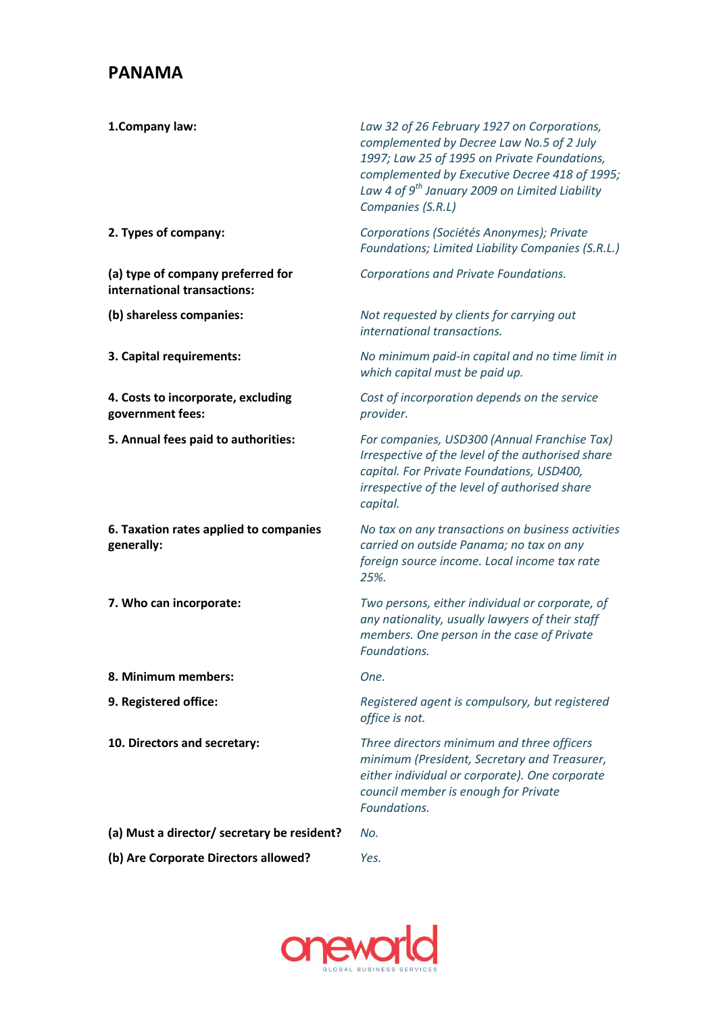## **PANAMA**

| 1.Company law:                                                   | Law 32 of 26 February 1927 on Corporations,<br>complemented by Decree Law No.5 of 2 July<br>1997; Law 25 of 1995 on Private Foundations,<br>complemented by Executive Decree 418 of 1995;<br>Law 4 of 9 <sup>th</sup> January 2009 on Limited Liability<br>Companies (S.R.L) |
|------------------------------------------------------------------|------------------------------------------------------------------------------------------------------------------------------------------------------------------------------------------------------------------------------------------------------------------------------|
| 2. Types of company:                                             | Corporations (Sociétés Anonymes); Private<br>Foundations; Limited Liability Companies (S.R.L.)                                                                                                                                                                               |
| (a) type of company preferred for<br>international transactions: | Corporations and Private Foundations.                                                                                                                                                                                                                                        |
| (b) shareless companies:                                         | Not requested by clients for carrying out<br>international transactions.                                                                                                                                                                                                     |
| 3. Capital requirements:                                         | No minimum paid-in capital and no time limit in<br>which capital must be paid up.                                                                                                                                                                                            |
| 4. Costs to incorporate, excluding<br>government fees:           | Cost of incorporation depends on the service<br>provider.                                                                                                                                                                                                                    |
| 5. Annual fees paid to authorities:                              | For companies, USD300 (Annual Franchise Tax)<br>Irrespective of the level of the authorised share<br>capital. For Private Foundations, USD400,<br>irrespective of the level of authorised share<br>capital.                                                                  |
| 6. Taxation rates applied to companies<br>generally:             | No tax on any transactions on business activities<br>carried on outside Panama; no tax on any<br>foreign source income. Local income tax rate<br>25%.                                                                                                                        |
| 7. Who can incorporate:                                          | Two persons, either individual or corporate, of<br>any nationality, usually lawyers of their staff<br>members. One person in the case of Private<br>Foundations.                                                                                                             |
| 8. Minimum members:                                              | One.                                                                                                                                                                                                                                                                         |
| 9. Registered office:                                            | Registered agent is compulsory, but registered<br>office is not.                                                                                                                                                                                                             |
| 10. Directors and secretary:                                     | Three directors minimum and three officers<br>minimum (President, Secretary and Treasurer,<br>either individual or corporate). One corporate<br>council member is enough for Private<br>Foundations.                                                                         |
| (a) Must a director/ secretary be resident?                      | No.                                                                                                                                                                                                                                                                          |
| (b) Are Corporate Directors allowed?                             | Yes.                                                                                                                                                                                                                                                                         |